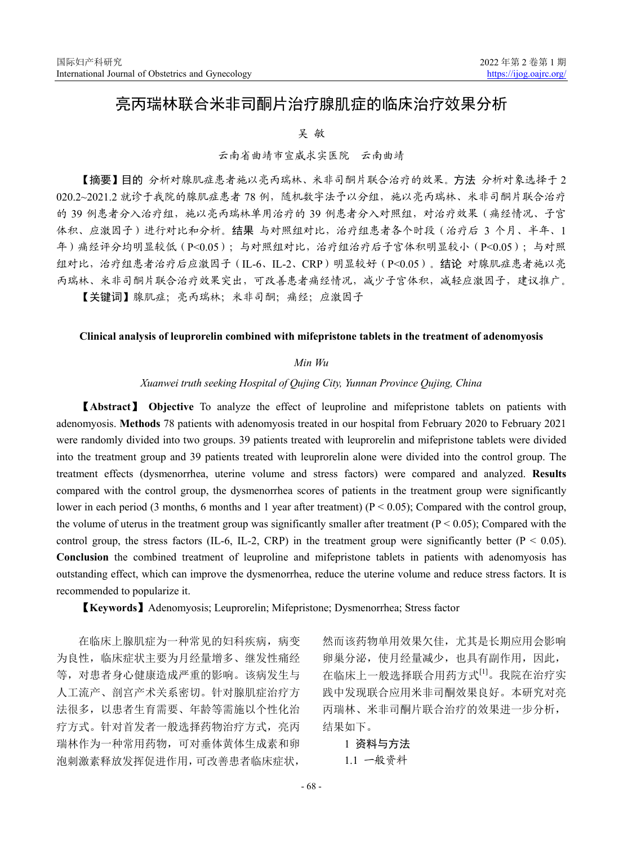# 亮丙瑞林联合米非司酮片治疗腺肌症的临床治疗效果分析

### 吴 敏

## 云南省曲靖市宣威求实医院 云南曲靖

【摘要】目的 分析对腺肌症患者施以亮丙瑞林、米非司酮片联合治疗的效果。方法 分析对象选择于 2 020.2~2021.2 就诊于我院的腺肌症患者 78 例,随机数字法予以分组,施以亮丙瑞林、米非司酮片联合治疗 的 39 例患者分入治疗组,施以亮丙瑞林单用治疗的 39 例患者分入对照组,对治疗效果(痛经情况、子宫 体积、应激因子)进行对比和分析。结果 与对照组对比,治疗组患者各个时段(治疗后 3 个月、半年、1 年)痛经评分均明显较低(P<0.05);与对照组对比,治疗组治疗后子宫体积明显较小(P<0.05);与对照 组对比,治疗组患者治疗后应激因子(IL-6、IL-2、CRP)明显较好(P<0.05)。结论 对腺肌症患者施以亮 丙瑞林、米非司酮片联合治疗效果突出,可改善患者痛经情况,减少子宫体积,减轻应激因子,建议推广。

【关键词】腺肌症;亮丙瑞林;米非司酮;痛经;应激因子

#### **Clinical analysis of leuprorelin combined with mifepristone tablets in the treatment of adenomyosis**

#### *Min Wu*

#### *Xuanwei truth seeking Hospital of Qujing City, Yunnan Province Qujing, China*

【**Abstract**】 **Objective** To analyze the effect of leuproline and mifepristone tablets on patients with adenomyosis. **Methods** 78 patients with adenomyosis treated in our hospital from February 2020 to February 2021 were randomly divided into two groups. 39 patients treated with leuprorelin and mifepristone tablets were divided into the treatment group and 39 patients treated with leuprorelin alone were divided into the control group. The treatment effects (dysmenorrhea, uterine volume and stress factors) were compared and analyzed. **Results** compared with the control group, the dysmenorrhea scores of patients in the treatment group were significantly lower in each period (3 months, 6 months and 1 year after treatment) ( $P < 0.05$ ); Compared with the control group, the volume of uterus in the treatment group was significantly smaller after treatment  $(P < 0.05)$ ; Compared with the control group, the stress factors (IL-6, IL-2, CRP) in the treatment group were significantly better ( $P < 0.05$ ). **Conclusion** the combined treatment of leuproline and mifepristone tablets in patients with adenomyosis has outstanding effect, which can improve the dysmenorrhea, reduce the uterine volume and reduce stress factors. It is recommended to popularize it.

【**Keywords**】Adenomyosis; Leuprorelin; Mifepristone; Dysmenorrhea; Stress factor

在临床上腺肌症为一种常见的妇科疾病,病变 为良性,临床症状主要为月经量增多、继发性痛经 等,对患者身心健康造成严重的影响。该病发生与 人工流产、剖宫产术关系密切。针对腺肌症治疗方 法很多,以患者生育需要、年龄等需施以个性化治 疗方式。针对首发者一般选择药物治疗方式,亮丙 瑞林作为一种常用药物,可对垂体黄体生成素和卵 泡刺激素释放发挥促进作用,可改善患者临床症状,

然而该药物单用效果欠佳,尤其是长期应用会影响 卵巢分泌,使月经量减少,也具有副作用,因此, 在临床上一般选择联合用药方式[1]。我院在治疗实 践中发现联合应用米非司酮效果良好。本研究对亮 丙瑞林、米非司酮片联合治疗的效果进一步分析, 结果如下。

1 资料与方法 1.1 一般资料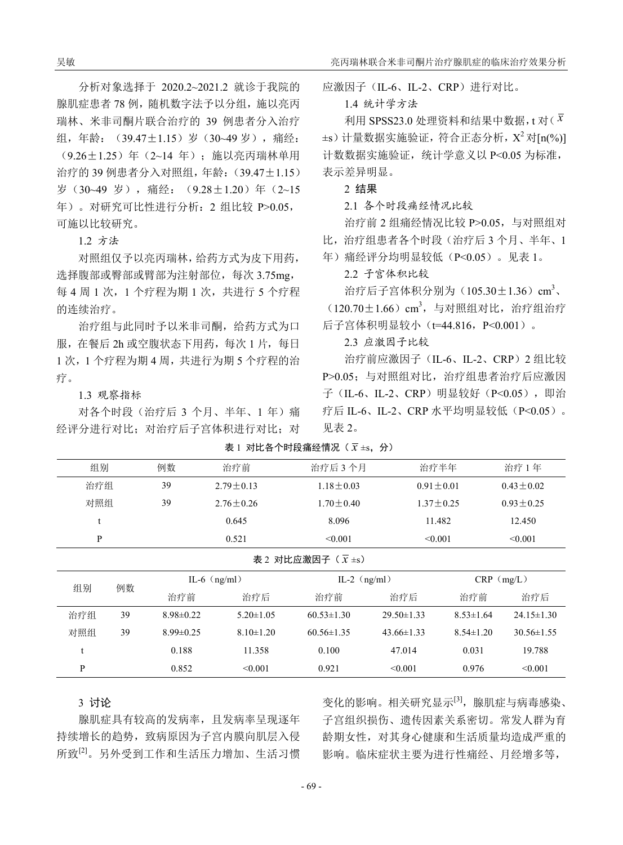分析对象选择于 2020.2~2021.2 就诊于我院的 腺肌症患者 78 例, 随机数字法予以分组, 施以亮丙 瑞林、米非司酮片联合治疗的 39 例患者分入治疗 组,年龄:(39.47±1.15)岁(30~49 岁),痛经: (9.26±1.25)年(2~14 年);施以亮丙瑞林单用 治疗的 39 例患者分入对照组,年龄:(39.47±1.15) 岁(30~49 岁),痛经:(9.28±1.20)年(2~15 年)。对研究可比性进行分析:2 组比较 P>0.05, 可施以比较研究。

1.2 方法

对照组仅予以亮丙瑞林,给药方式为皮下用药, 选择腹部或臀部或臂部为注射部位, 每次 3.75mg, 每 4 周 1 次, 1 个疗程为期 1 次, 共进行 5 个疗程 的连续治疗。

治疗组与此同时予以米非司酮,给药方式为口 服, 在餐后 2h 或空腹状态下用药, 每次 1 片, 每日 1 次,1 个疗程为期 4 周,共进行为期 5 个疗程的治 疗。

1.3 观察指标

对各个时段(治疗后 3 个月、半年、1 年)痛 经评分进行对比;对治疗后子宫体积进行对比;对 应激因子(IL-6、IL-2、CRP)进行对比。

1.4 统计学方法

利用 SPSS23.0 处理资料和结果中数据,t 对( $\bar{x}$  $\pm$ s) 计量数据实施验证, 符合正态分析,  $X^2$  对 $[n\left(\frac{9}{6}\right)]$ 计数数据实施验证,统计学意义以 P<0.05 为标准, 表示差异明显。

2 结果

2.1 各个时段痛经情况比较

治疗前 2 组痛经情况比较 P>0.05,与对照组对 比,治疗组患者各个时段(治疗后 3 个月、半年、1

年)痛经评分均明显较低(P<0.05)。见表 1。

2.2 子宫体积比较

治疗后子宫体积分别为(105.30±1.36) cm<sup>3</sup>、 (120.70±1.66) cm3, 与对照组对比, 治疗组治疗

后子宫体积明显较小(t=44.816,P<0.001)。

2.3 应激因子比较

治疗前应激因子(IL-6、IL-2、CRP)2 组比较 P>0.05;与对照组对比,治疗组患者治疗后应激因 子(IL-6、IL-2、CRP)明显较好(P<0.05),即治 疗后 IL-6、IL-2、CRP 水平均明显较低(P<0.05)。 见表 2。

| 表 1 对比各个时段痛经情况 $(\bar{x} \pm s, \hat{y})$ |  |  |
|-------------------------------------------|--|--|
|-------------------------------------------|--|--|

| 组别                           | 例数 | 治疗前           | 治疗后 3个月       | 治疗半年          | 治疗1年          |  |  |
|------------------------------|----|---------------|---------------|---------------|---------------|--|--|
| 治疗组                          | 39 | $2.79 + 0.13$ | $1.18 + 0.03$ | $0.91 + 0.01$ | $0.43 + 0.02$ |  |  |
| 对照组                          | 39 | $2.76 + 0.26$ | $1.70 + 0.40$ | $1.37 + 0.25$ | $0.93 + 0.25$ |  |  |
| t                            |    | 0.645         | 8.096         | 11.482        | 12.450        |  |  |
| P                            |    | 0.521         | < 0.001       | < 0.001       | < 0.001       |  |  |
| 表 2 对比应激因子 $(\bar{x} \pm s)$ |    |               |               |               |               |  |  |

| 例数<br>组别 |    | IL-6 $(ng/ml)$  |                 | IL-2 $(ng/ml)$   |                  | $CRP$ (mg/L)    |                  |  |  |
|----------|----|-----------------|-----------------|------------------|------------------|-----------------|------------------|--|--|
|          |    | 治疗前             | 治疗后             | 治疗前              | 治疗后              | 治疗前             | 治疗后              |  |  |
| 治疗组      | 39 | $8.98 \pm 0.22$ | $5.20 \pm 1.05$ | $60.53 \pm 1.30$ | $29.50 \pm 1.33$ | $8.53 \pm 1.64$ | $24.15 \pm 1.30$ |  |  |
| 对照组      | 39 | $8.99 \pm 0.25$ | $8.10 \pm 1.20$ | $60.56 \pm 1.35$ | $43.66 \pm 1.33$ | $8.54 \pm 1.20$ | $30.56 \pm 1.55$ |  |  |
|          |    | 0.188           | 11.358          | 0.100            | 47.014           | 0.031           | 19.788           |  |  |
| P        |    | 0.852           | < 0.001         | 0.921            | < 0.001          | 0.976           | < 0.001          |  |  |

3 讨论

腺肌症具有较高的发病率,且发病率呈现逐年 持续增长的趋势,致病原因为子宫内膜向肌层入侵 所致[2]。另外受到工作和生活压力增加、生活习惯

变化的影响。相关研究显示[3],腺肌症与病毒感染、 子宫组织损伤、遗传因素关系密切。常发人群为育 龄期女性,对其身心健康和生活质量均造成严重的 影响。临床症状主要为进行性痛经、月经增多等,